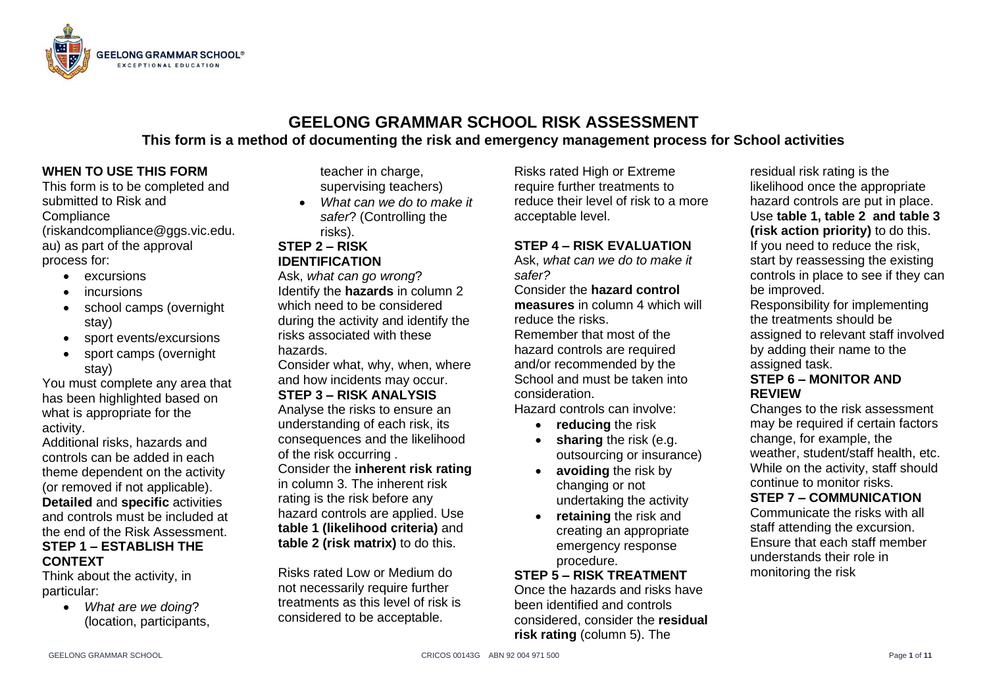

# **GEELONG GRAMMAR SCHOOL RISK ASSESSMENT This form is a method of documenting the risk and emergency management process for School activities**

## **WHEN TO USE THIS FORM**

This form is to be completed and submitted to Risk and **Compliance** (riskandcompliance@ggs.vic.edu.

au) as part of the approval process for:

- excursions
- incursions
- school camps (overnight stay)
- sport events/excursions
- sport camps (overnight stay)

You must complete any area that has been highlighted based on what is appropriate for the activity.

Additional risks, hazards and controls can be added in each theme dependent on the activity (or removed if not applicable). **Detailed** and **specific** activities and controls must be included at the end of the Risk Assessment. **STEP 1 – ESTABLISH THE CONTEXT** 

Think about the activity, in particular:

> • *What are we doing*? (location, participants,

teacher in charge, supervising teachers)

• *What can we do to make it safer*? (Controlling the risks).

## **STEP 2 – RISK IDENTIFICATION**

Ask, *what can go wrong*? Identify the **hazards** in column 2 which need to be considered during the activity and identify the risks associated with these hazards.

Consider what, why, when, where and how incidents may occur. **STEP 3 – RISK ANALYSIS**  Analyse the risks to ensure an

understanding of each risk, its consequences and the likelihood of the risk occurring .

Consider the **inherent risk rating** in column 3. The inherent risk rating is the risk before any hazard controls are applied. Use **table 1 (likelihood criteria)** and **table 2 (risk matrix)** to do this.

Risks rated Low or Medium do not necessarily require further treatments as this level of risk is considered to be acceptable.

Risks rated High or Extreme require further treatments to reduce their level of risk to a more acceptable level.

## **STEP 4 – RISK EVALUATION**

Ask, *what can we do to make it safer?*

Consider the **hazard control measures** in column 4 which will reduce the risks.

Remember that most of the hazard controls are required and/or recommended by the School and must be taken into consideration.

Hazard controls can involve:

- **reducing** the risk
- **sharing** the risk (e.g. outsourcing or insurance)
- **avoiding** the risk by changing or not undertaking the activity
- **retaining** the risk and creating an appropriate emergency response procedure.

#### **STEP 5 – RISK TREATMENT**

Once the hazards and risks have been identified and controls considered, consider the **residual risk rating** (column 5). The

residual risk rating is the likelihood once the appropriate hazard controls are put in place. Use **table 1, table 2 and table 3 (risk action priority)** to do this. If you need to reduce the risk, start by reassessing the existing controls in place to see if they can be improved.

Responsibility for implementing the treatments should be assigned to relevant staff involved by adding their name to the assigned task.

#### **STEP 6 – MONITOR AND REVIEW**

Changes to the risk assessment may be required if certain factors change, for example, the weather, student/staff health, etc. While on the activity, staff should continue to monitor risks.

## **STEP 7 – COMMUNICATION**

Communicate the risks with all staff attending the excursion. Ensure that each staff member understands their role in monitoring the risk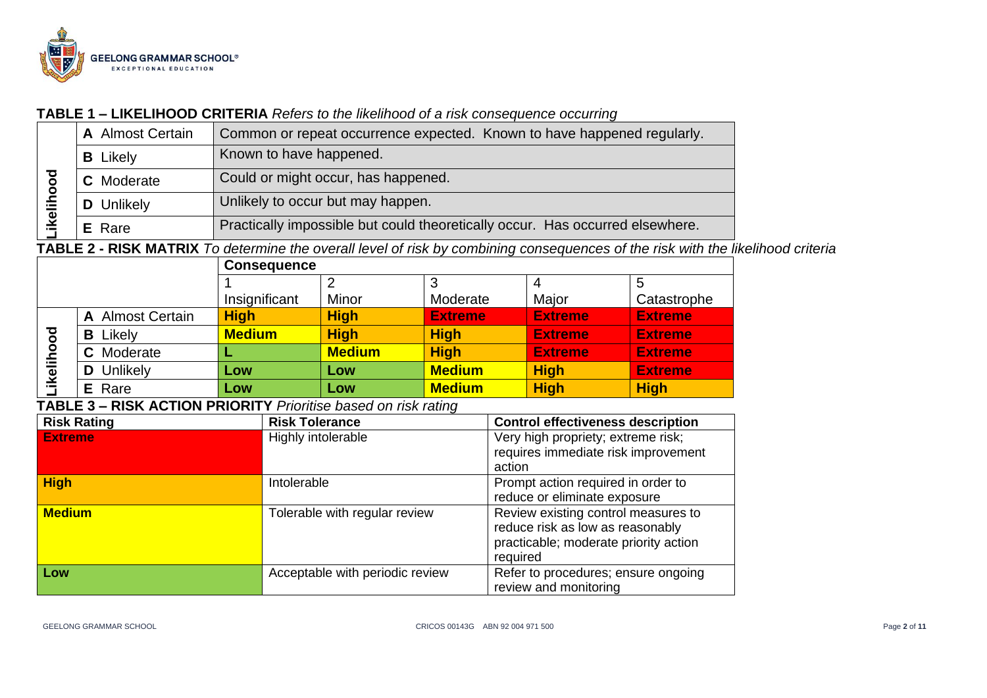

#### **TABLE 1 – LIKELIHOOD CRITERIA** *Refers to the likelihood of a risk consequence occurring*

|                | <b>A</b> Almost Certain | Common or repeat occurrence expected. Known to have happened regularly.       |
|----------------|-------------------------|-------------------------------------------------------------------------------|
|                | <b>B</b> Likely         | Known to have happened.                                                       |
| ह              | <b>C</b> Moderate       | Could or might occur, has happened.                                           |
| <b>ikeliho</b> | <b>D</b> Unlikely       | Unlikely to occur but may happen.                                             |
|                | E Rare                  | Practically impossible but could theoretically occur. Has occurred elsewhere. |

**TABLE 2 - RISK MATRIX** *To determine the overall level of risk by combining consequences of the risk with the likelihood criteria*

|                     |                  | <b>Consequence</b> |               |                |                |                |  |
|---------------------|------------------|--------------------|---------------|----------------|----------------|----------------|--|
|                     |                  |                    |               | 3              |                | 5              |  |
|                     |                  | Insignificant      | Minor         | Moderate       | Major          | Catastrophe    |  |
|                     | A Almost Certain | <b>High</b>        | <b>High</b>   | <b>Extreme</b> | <b>Extreme</b> | <b>Extreme</b> |  |
| ठ                   | Likely<br>В      | <b>Medium</b>      | <b>High</b>   | <b>High</b>    | <b>Extreme</b> | <b>Extreme</b> |  |
| Ō<br>Ξ<br><u>ତୁ</u> | Moderate         | . .                | <b>Medium</b> | <b>High</b>    | <b>Extreme</b> | <b>Extreme</b> |  |
|                     | Unlikely         | Low                | Low           | <b>Medium</b>  | <b>High</b>    | <b>Extreme</b> |  |
|                     | <b>E</b> Rare    | Low                | Low           | <b>Medium</b>  | <b>High</b>    | <b>High</b>    |  |

## **TABLE 3 – RISK ACTION PRIORITY** *Prioritise based on risk rating*

| <b>Risk Rating</b> | <b>Risk Tolerance</b>           | <b>Control effectiveness description</b>                                                                                     |
|--------------------|---------------------------------|------------------------------------------------------------------------------------------------------------------------------|
| <b>Extreme</b>     | Highly intolerable              | Very high propriety; extreme risk;<br>requires immediate risk improvement<br>action                                          |
| <b>High</b>        | Intolerable                     | Prompt action required in order to<br>reduce or eliminate exposure                                                           |
| <b>Medium</b>      | Tolerable with regular review   | Review existing control measures to<br>reduce risk as low as reasonably<br>practicable; moderate priority action<br>required |
| Low                | Acceptable with periodic review | Refer to procedures; ensure ongoing<br>review and monitoring                                                                 |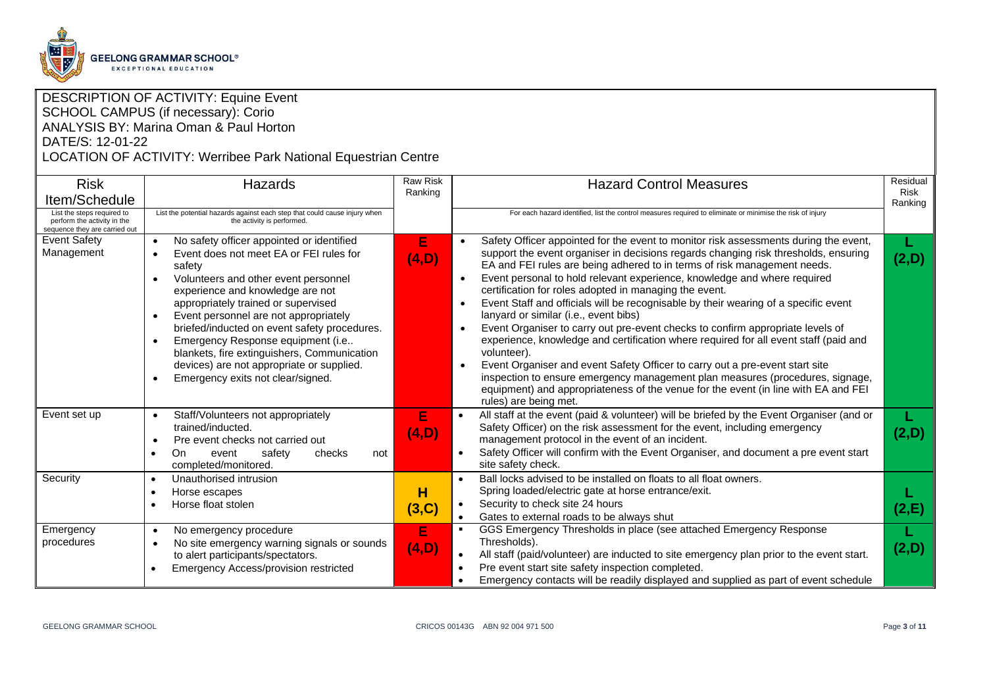

#### DESCRIPTION OF ACTIVITY: Equine Event SCHOOL CAMPUS (if necessary): Corio ANALYSIS BY: Marina Oman & Paul Horton DATE/S: 12-01-22

#### LOCATION OF ACTIVITY: Werribee Park National Equestrian Centre

| <b>Risk</b>                                                                                | <b>Hazards</b>                                                                                                                                                                                                                                                                                                                                                                                                                                                                                             | <b>Raw Risk</b><br>Ranking | <b>Hazard Control Measures</b>                                                                                                                                                                                                                                                                                                                                                                                                                                                                                                                                                                                                                                                                                                                                                                                                                                                                                                                                                                                                   | Residual<br><b>Risk</b> |
|--------------------------------------------------------------------------------------------|------------------------------------------------------------------------------------------------------------------------------------------------------------------------------------------------------------------------------------------------------------------------------------------------------------------------------------------------------------------------------------------------------------------------------------------------------------------------------------------------------------|----------------------------|----------------------------------------------------------------------------------------------------------------------------------------------------------------------------------------------------------------------------------------------------------------------------------------------------------------------------------------------------------------------------------------------------------------------------------------------------------------------------------------------------------------------------------------------------------------------------------------------------------------------------------------------------------------------------------------------------------------------------------------------------------------------------------------------------------------------------------------------------------------------------------------------------------------------------------------------------------------------------------------------------------------------------------|-------------------------|
| Item/Schedule                                                                              |                                                                                                                                                                                                                                                                                                                                                                                                                                                                                                            |                            |                                                                                                                                                                                                                                                                                                                                                                                                                                                                                                                                                                                                                                                                                                                                                                                                                                                                                                                                                                                                                                  | Ranking                 |
| List the steps required to<br>perform the activity in the<br>sequence they are carried out | List the potential hazards against each step that could cause injury when<br>the activity is performed.                                                                                                                                                                                                                                                                                                                                                                                                    |                            | For each hazard identified, list the control measures required to eliminate or minimise the risk of injury                                                                                                                                                                                                                                                                                                                                                                                                                                                                                                                                                                                                                                                                                                                                                                                                                                                                                                                       |                         |
| <b>Event Safety</b><br>Management                                                          | No safety officer appointed or identified<br>$\bullet$<br>Event does not meet EA or FEI rules for<br>safety<br>Volunteers and other event personnel<br>$\bullet$<br>experience and knowledge are not<br>appropriately trained or supervised<br>Event personnel are not appropriately<br>briefed/inducted on event safety procedures.<br>Emergency Response equipment (i.e<br>blankets, fire extinguishers, Communication<br>devices) are not appropriate or supplied.<br>Emergency exits not clear/signed. | E<br>(4,D)                 | Safety Officer appointed for the event to monitor risk assessments during the event,<br>support the event organiser in decisions regards changing risk thresholds, ensuring<br>EA and FEI rules are being adhered to in terms of risk management needs.<br>Event personal to hold relevant experience, knowledge and where required<br>certification for roles adopted in managing the event.<br>Event Staff and officials will be recognisable by their wearing of a specific event<br>$\bullet$<br>lanyard or similar (i.e., event bibs)<br>Event Organiser to carry out pre-event checks to confirm appropriate levels of<br>$\bullet$<br>experience, knowledge and certification where required for all event staff (paid and<br>volunteer).<br>Event Organiser and event Safety Officer to carry out a pre-event start site<br>inspection to ensure emergency management plan measures (procedures, signage,<br>equipment) and appropriateness of the venue for the event (in line with EA and FEI<br>rules) are being met. | (2,D)                   |
| Event set up                                                                               | Staff/Volunteers not appropriately<br>$\bullet$<br>trained/inducted.<br>Pre event checks not carried out<br>On<br>safety<br>checks<br>event<br>not<br>completed/monitored.                                                                                                                                                                                                                                                                                                                                 | E<br>(4,D)                 | All staff at the event (paid & volunteer) will be briefed by the Event Organiser (and or<br>$\bullet$<br>Safety Officer) on the risk assessment for the event, including emergency<br>management protocol in the event of an incident.<br>Safety Officer will confirm with the Event Organiser, and document a pre event start<br>site safety check.                                                                                                                                                                                                                                                                                                                                                                                                                                                                                                                                                                                                                                                                             | (2,D)                   |
| Security                                                                                   | Unauthorised intrusion<br>Horse escapes<br>Horse float stolen                                                                                                                                                                                                                                                                                                                                                                                                                                              | н<br>(3,C)                 | Ball locks advised to be installed on floats to all float owners.<br>Spring loaded/electric gate at horse entrance/exit.<br>Security to check site 24 hours<br>Gates to external roads to be always shut<br>$\bullet$                                                                                                                                                                                                                                                                                                                                                                                                                                                                                                                                                                                                                                                                                                                                                                                                            | (2,E)                   |
| Emergency<br>procedures                                                                    | No emergency procedure<br>$\bullet$<br>No site emergency warning signals or sounds<br>to alert participants/spectators.<br>Emergency Access/provision restricted                                                                                                                                                                                                                                                                                                                                           | Е<br>(4,D)                 | GGS Emergency Thresholds in place (see attached Emergency Response<br>Thresholds).<br>All staff (paid/volunteer) are inducted to site emergency plan prior to the event start.<br>$\bullet$<br>Pre event start site safety inspection completed.<br>Emergency contacts will be readily displayed and supplied as part of event schedule                                                                                                                                                                                                                                                                                                                                                                                                                                                                                                                                                                                                                                                                                          | (2,D)                   |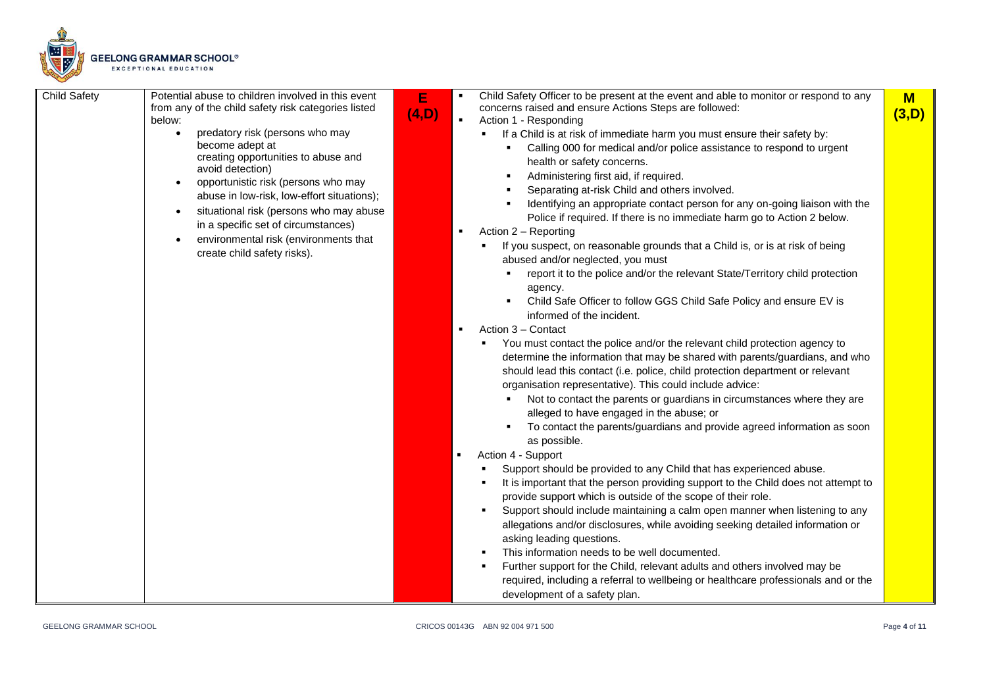

| <b>Child Safety</b><br>Potential abuse to children involved in this event<br>E<br>from any of the child safety risk categories listed<br>(4,D)<br>below:<br>predatory risk (persons who may<br>$\bullet$<br>become adept at<br>creating opportunities to abuse and<br>avoid detection)<br>opportunistic risk (persons who may<br>$\bullet$<br>abuse in low-risk, low-effort situations);<br>situational risk (persons who may abuse<br>$\bullet$<br>in a specific set of circumstances)<br>environmental risk (environments that<br>create child safety risks). | Child Safety Officer to be present at the event and able to monitor or respond to any<br>$M$<br>concerns raised and ensure Actions Steps are followed:<br>(3,D)<br>Action 1 - Responding<br>If a Child is at risk of immediate harm you must ensure their safety by:<br>Calling 000 for medical and/or police assistance to respond to urgent<br>health or safety concerns.<br>Administering first aid, if required.<br>Separating at-risk Child and others involved.<br>Identifying an appropriate contact person for any on-going liaison with the<br>Police if required. If there is no immediate harm go to Action 2 below.<br>Action 2 - Reporting<br>If you suspect, on reasonable grounds that a Child is, or is at risk of being<br>abused and/or neglected, you must<br>report it to the police and/or the relevant State/Territory child protection<br>agency.<br>Child Safe Officer to follow GGS Child Safe Policy and ensure EV is<br>informed of the incident.<br>Action 3 - Contact<br>You must contact the police and/or the relevant child protection agency to<br>determine the information that may be shared with parents/guardians, and who<br>should lead this contact (i.e. police, child protection department or relevant<br>organisation representative). This could include advice:<br>Not to contact the parents or guardians in circumstances where they are<br>alleged to have engaged in the abuse; or<br>To contact the parents/guardians and provide agreed information as soon<br>as possible.<br>Action 4 - Support<br>Support should be provided to any Child that has experienced abuse.<br>It is important that the person providing support to the Child does not attempt to<br>provide support which is outside of the scope of their role.<br>Support should include maintaining a calm open manner when listening to any<br>allegations and/or disclosures, while avoiding seeking detailed information or<br>asking leading questions.<br>This information needs to be well documented.<br>Further support for the Child, relevant adults and others involved may be<br>required, including a referral to wellbeing or healthcare professionals and or the<br>development of a safety plan. |
|-----------------------------------------------------------------------------------------------------------------------------------------------------------------------------------------------------------------------------------------------------------------------------------------------------------------------------------------------------------------------------------------------------------------------------------------------------------------------------------------------------------------------------------------------------------------|----------------------------------------------------------------------------------------------------------------------------------------------------------------------------------------------------------------------------------------------------------------------------------------------------------------------------------------------------------------------------------------------------------------------------------------------------------------------------------------------------------------------------------------------------------------------------------------------------------------------------------------------------------------------------------------------------------------------------------------------------------------------------------------------------------------------------------------------------------------------------------------------------------------------------------------------------------------------------------------------------------------------------------------------------------------------------------------------------------------------------------------------------------------------------------------------------------------------------------------------------------------------------------------------------------------------------------------------------------------------------------------------------------------------------------------------------------------------------------------------------------------------------------------------------------------------------------------------------------------------------------------------------------------------------------------------------------------------------------------------------------------------------------------------------------------------------------------------------------------------------------------------------------------------------------------------------------------------------------------------------------------------------------------------------------------------------------------------------------------------------------------------------------------------------------------------------------------------------------------|
|-----------------------------------------------------------------------------------------------------------------------------------------------------------------------------------------------------------------------------------------------------------------------------------------------------------------------------------------------------------------------------------------------------------------------------------------------------------------------------------------------------------------------------------------------------------------|----------------------------------------------------------------------------------------------------------------------------------------------------------------------------------------------------------------------------------------------------------------------------------------------------------------------------------------------------------------------------------------------------------------------------------------------------------------------------------------------------------------------------------------------------------------------------------------------------------------------------------------------------------------------------------------------------------------------------------------------------------------------------------------------------------------------------------------------------------------------------------------------------------------------------------------------------------------------------------------------------------------------------------------------------------------------------------------------------------------------------------------------------------------------------------------------------------------------------------------------------------------------------------------------------------------------------------------------------------------------------------------------------------------------------------------------------------------------------------------------------------------------------------------------------------------------------------------------------------------------------------------------------------------------------------------------------------------------------------------------------------------------------------------------------------------------------------------------------------------------------------------------------------------------------------------------------------------------------------------------------------------------------------------------------------------------------------------------------------------------------------------------------------------------------------------------------------------------------------------|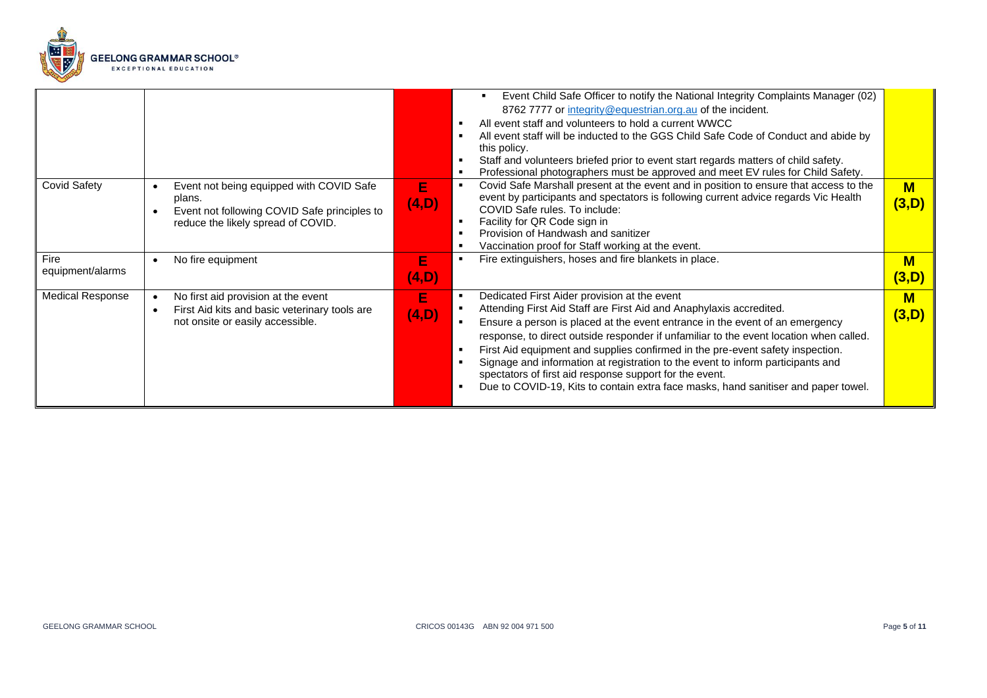

|                          |                                                                                                                                          |            | Event Child Safe Officer to notify the National Integrity Complaints Manager (02)<br>8762 7777 or integrity@equestrian.org.au of the incident.<br>All event staff and volunteers to hold a current WWCC<br>All event staff will be inducted to the GGS Child Safe Code of Conduct and abide by<br>this policy.<br>Staff and volunteers briefed prior to event start regards matters of child safety.<br>Professional photographers must be approved and meet EV rules for Child Safety.                                                                                                                                               |                                  |
|--------------------------|------------------------------------------------------------------------------------------------------------------------------------------|------------|---------------------------------------------------------------------------------------------------------------------------------------------------------------------------------------------------------------------------------------------------------------------------------------------------------------------------------------------------------------------------------------------------------------------------------------------------------------------------------------------------------------------------------------------------------------------------------------------------------------------------------------|----------------------------------|
| <b>Covid Safety</b>      | Event not being equipped with COVID Safe<br>plans.<br>Event not following COVID Safe principles to<br>reduce the likely spread of COVID. | Е<br>(4,D) | Covid Safe Marshall present at the event and in position to ensure that access to the<br>event by participants and spectators is following current advice regards Vic Health<br>COVID Safe rules. To include:<br>Facility for QR Code sign in<br>Provision of Handwash and sanitizer<br>Vaccination proof for Staff working at the event.                                                                                                                                                                                                                                                                                             | $M$<br>(3,D)                     |
| Fire<br>equipment/alarms | No fire equipment                                                                                                                        | Е<br>(4,D) | Fire extinguishers, hoses and fire blankets in place.                                                                                                                                                                                                                                                                                                                                                                                                                                                                                                                                                                                 | $M$<br>(3,D)                     |
| <b>Medical Response</b>  | No first aid provision at the event<br>First Aid kits and basic veterinary tools are<br>not onsite or easily accessible.                 | Е<br>(4,D) | Dedicated First Aider provision at the event<br>Attending First Aid Staff are First Aid and Anaphylaxis accredited.<br>Ensure a person is placed at the event entrance in the event of an emergency<br>$\blacksquare$<br>response, to direct outside responder if unfamiliar to the event location when called.<br>First Aid equipment and supplies confirmed in the pre-event safety inspection.<br>Signage and information at registration to the event to inform participants and<br>spectators of first aid response support for the event.<br>Due to COVID-19, Kits to contain extra face masks, hand sanitiser and paper towel. | $\overline{\mathsf{M}}$<br>(3,D) |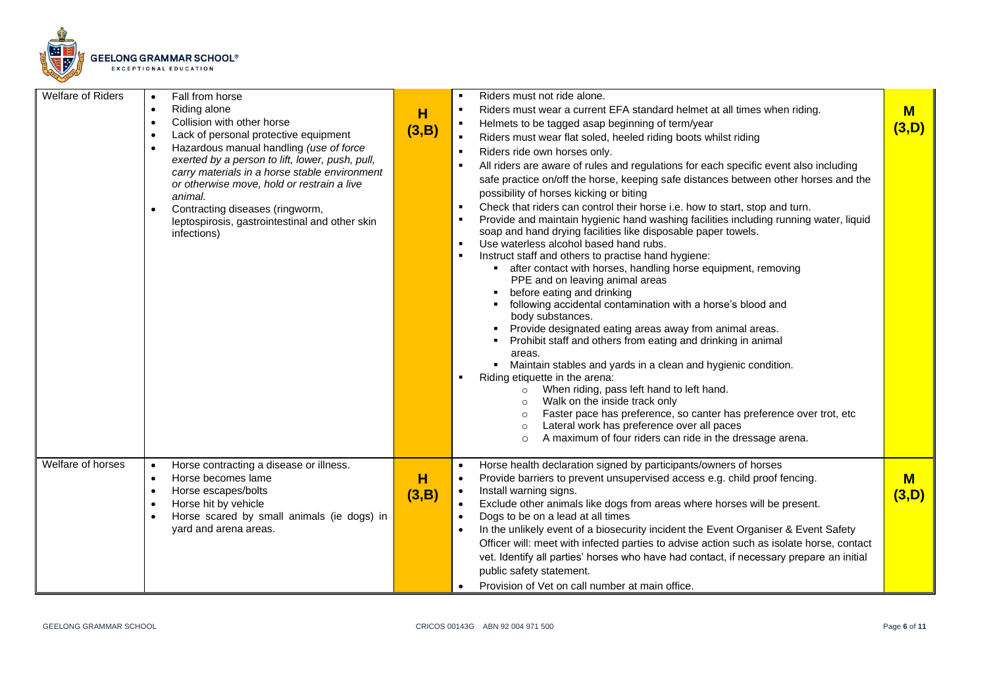

| Welfare of Riders | Fall from horse<br>Riding alone<br>$\bullet$<br>Collision with other horse<br>$\bullet$<br>Lack of personal protective equipment<br>$\bullet$<br>Hazardous manual handling (use of force<br>exerted by a person to lift, lower, push, pull,<br>carry materials in a horse stable environment<br>or otherwise move, hold or restrain a live<br>animal.<br>Contracting diseases (ringworm,<br>leptospirosis, gastrointestinal and other skin<br>infections) | H<br>(3,B) | Riders must not ride alone.<br>Riders must wear a current EFA standard helmet at all times when riding.<br>$\blacksquare$<br>Helmets to be tagged asap beginning of term/year<br>$\blacksquare$<br>$\blacksquare$<br>Riders must wear flat soled, heeled riding boots whilst riding<br>Riders ride own horses only.<br>$\blacksquare$<br>All riders are aware of rules and regulations for each specific event also including<br>$\blacksquare$<br>safe practice on/off the horse, keeping safe distances between other horses and the<br>possibility of horses kicking or biting<br>Check that riders can control their horse i.e. how to start, stop and turn.<br>$\blacksquare$<br>$\blacksquare$<br>Provide and maintain hygienic hand washing facilities including running water, liquid<br>soap and hand drying facilities like disposable paper towels.<br>Use waterless alcohol based hand rubs.<br>$\blacksquare$<br>$\blacksquare$<br>Instruct staff and others to practise hand hygiene:<br>• after contact with horses, handling horse equipment, removing<br>PPE and on leaving animal areas<br>before eating and drinking<br>following accidental contamination with a horse's blood and<br>٠<br>body substances.<br>Provide designated eating areas away from animal areas.<br>$\blacksquare$<br>Prohibit staff and others from eating and drinking in animal<br>areas.<br>Maintain stables and yards in a clean and hygienic condition.<br>٠<br>Riding etiquette in the arena:<br>$\blacksquare$<br>When riding, pass left hand to left hand.<br>$\circ$<br>Walk on the inside track only<br>$\circ$<br>Faster pace has preference, so canter has preference over trot, etc<br>$\circ$<br>Lateral work has preference over all paces<br>$\circ$<br>A maximum of four riders can ride in the dressage arena.<br>$\circ$ | $M$<br>(3,D) |
|-------------------|-----------------------------------------------------------------------------------------------------------------------------------------------------------------------------------------------------------------------------------------------------------------------------------------------------------------------------------------------------------------------------------------------------------------------------------------------------------|------------|----------------------------------------------------------------------------------------------------------------------------------------------------------------------------------------------------------------------------------------------------------------------------------------------------------------------------------------------------------------------------------------------------------------------------------------------------------------------------------------------------------------------------------------------------------------------------------------------------------------------------------------------------------------------------------------------------------------------------------------------------------------------------------------------------------------------------------------------------------------------------------------------------------------------------------------------------------------------------------------------------------------------------------------------------------------------------------------------------------------------------------------------------------------------------------------------------------------------------------------------------------------------------------------------------------------------------------------------------------------------------------------------------------------------------------------------------------------------------------------------------------------------------------------------------------------------------------------------------------------------------------------------------------------------------------------------------------------------------------------------------------------------------------------------------------------------------------------|--------------|
| Welfare of horses | Horse contracting a disease or illness.<br>$\bullet$<br>Horse becomes lame<br>$\bullet$<br>Horse escapes/bolts<br>$\bullet$<br>Horse hit by vehicle<br>Horse scared by small animals (ie dogs) in<br>yard and arena areas.                                                                                                                                                                                                                                | н<br>(3,B) | Horse health declaration signed by participants/owners of horses<br>$\bullet$<br>Provide barriers to prevent unsupervised access e.g. child proof fencing.<br>$\bullet$<br>Install warning signs.<br>$\bullet$<br>Exclude other animals like dogs from areas where horses will be present.<br>Dogs to be on a lead at all times<br>$\bullet$<br>In the unlikely event of a biosecurity incident the Event Organiser & Event Safety<br>$\bullet$<br>Officer will: meet with infected parties to advise action such as isolate horse, contact<br>vet. Identify all parties' horses who have had contact, if necessary prepare an initial<br>public safety statement.<br>Provision of Vet on call number at main office.                                                                                                                                                                                                                                                                                                                                                                                                                                                                                                                                                                                                                                                                                                                                                                                                                                                                                                                                                                                                                                                                                                                  | $M$<br>(3,D) |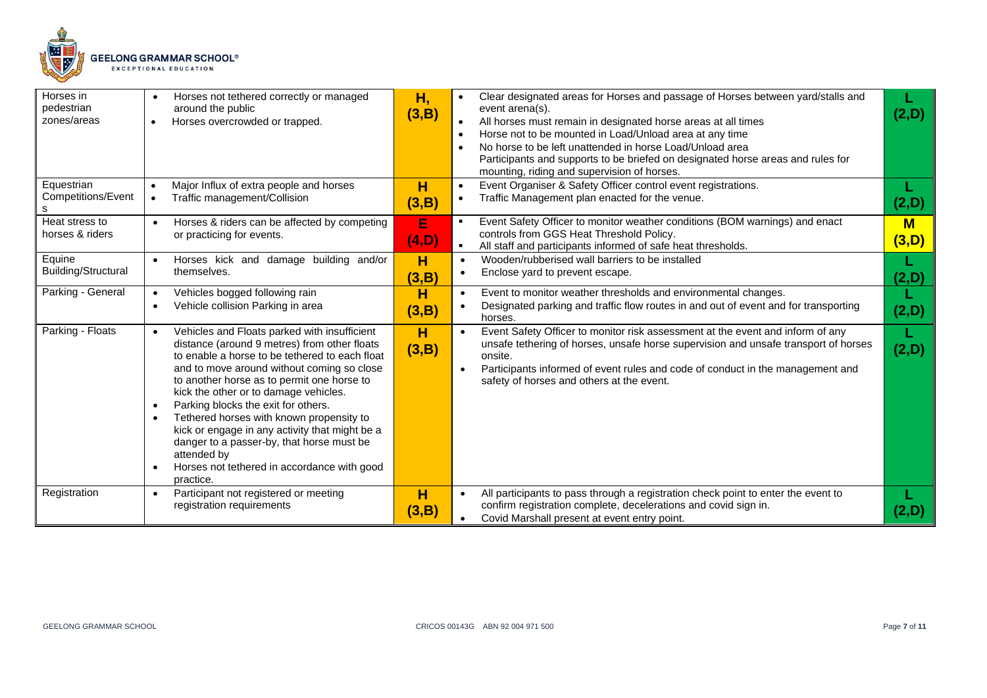

| Horses in<br>pedestrian<br>zones/areas | Horses not tethered correctly or managed<br>around the public<br>Horses overcrowded or trapped.                                                                                                                                                                                                                                                                                                                                                                                                                                                  | Η,<br>(3,B) | Clear designated areas for Horses and passage of Horses between yard/stalls and<br>event arena(s).<br>All horses must remain in designated horse areas at all times<br>Horse not to be mounted in Load/Unload area at any time<br>$\bullet$<br>No horse to be left unattended in horse Load/Unload area<br>Participants and supports to be briefed on designated horse areas and rules for<br>mounting, riding and supervision of horses. | (2,D)      |
|----------------------------------------|--------------------------------------------------------------------------------------------------------------------------------------------------------------------------------------------------------------------------------------------------------------------------------------------------------------------------------------------------------------------------------------------------------------------------------------------------------------------------------------------------------------------------------------------------|-------------|-------------------------------------------------------------------------------------------------------------------------------------------------------------------------------------------------------------------------------------------------------------------------------------------------------------------------------------------------------------------------------------------------------------------------------------------|------------|
| Equestrian<br>Competitions/Event       | Major Influx of extra people and horses<br>Traffic management/Collision                                                                                                                                                                                                                                                                                                                                                                                                                                                                          | H<br>(3,B)  | Event Organiser & Safety Officer control event registrations.<br>$\bullet$<br>Traffic Management plan enacted for the venue.                                                                                                                                                                                                                                                                                                              | (2,D)      |
| Heat stress to<br>horses & riders      | Horses & riders can be affected by competing<br>or practicing for events.                                                                                                                                                                                                                                                                                                                                                                                                                                                                        | E<br>(4, D) | Event Safety Officer to monitor weather conditions (BOM warnings) and enact<br>controls from GGS Heat Threshold Policy.<br>All staff and participants informed of safe heat thresholds.<br>$\blacksquare$                                                                                                                                                                                                                                 | M<br>(3,D) |
| Equine<br>Building/Structural          | Horses kick and damage building and/or<br>$\bullet$<br>themselves.                                                                                                                                                                                                                                                                                                                                                                                                                                                                               | н<br>(3,B)  | Wooden/rubberised wall barriers to be installed<br>$\bullet$<br>Enclose yard to prevent escape.<br>$\bullet$                                                                                                                                                                                                                                                                                                                              | (2,D)      |
| Parking - General                      | Vehicles bogged following rain<br>Vehicle collision Parking in area                                                                                                                                                                                                                                                                                                                                                                                                                                                                              | н<br>(3,B)  | Event to monitor weather thresholds and environmental changes.<br>$\bullet$<br>Designated parking and traffic flow routes in and out of event and for transporting<br>horses.                                                                                                                                                                                                                                                             | (2,D)      |
| Parking - Floats                       | Vehicles and Floats parked with insufficient<br>distance (around 9 metres) from other floats<br>to enable a horse to be tethered to each float<br>and to move around without coming so close<br>to another horse as to permit one horse to<br>kick the other or to damage vehicles.<br>Parking blocks the exit for others.<br>Tethered horses with known propensity to<br>kick or engage in any activity that might be a<br>danger to a passer-by, that horse must be<br>attended by<br>Horses not tethered in accordance with good<br>practice. | н<br>(3,B)  | Event Safety Officer to monitor risk assessment at the event and inform of any<br>unsafe tethering of horses, unsafe horse supervision and unsafe transport of horses<br>onsite.<br>Participants informed of event rules and code of conduct in the management and<br>safety of horses and others at the event.                                                                                                                           | L<br>(2,D) |
| Registration                           | Participant not registered or meeting<br>$\bullet$<br>registration requirements                                                                                                                                                                                                                                                                                                                                                                                                                                                                  | н<br>(3,B)  | All participants to pass through a registration check point to enter the event to<br>$\bullet$<br>confirm registration complete, decelerations and covid sign in.<br>Covid Marshall present at event entry point.                                                                                                                                                                                                                         | (2,D)      |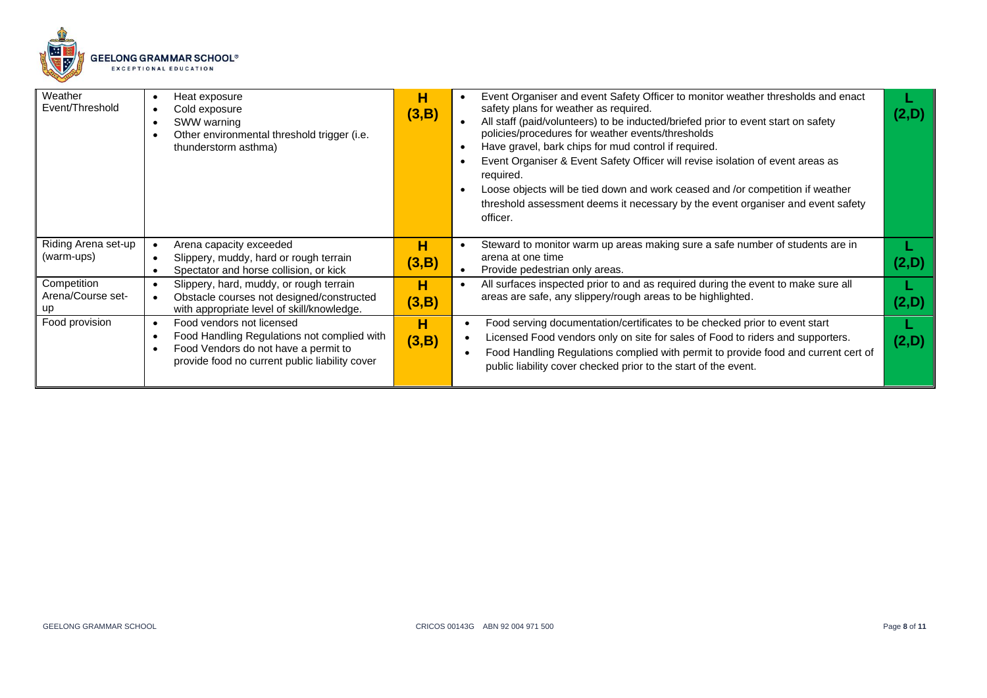

| Weather<br>Event/Threshold        | Heat exposure<br>Cold exposure<br>SWW warning<br>Other environmental threshold trigger (i.e.<br>thunderstorm asthma)                                                            | н<br>(3,B) | Event Organiser and event Safety Officer to monitor weather thresholds and enact<br>safety plans for weather as required.<br>All staff (paid/volunteers) to be inducted/briefed prior to event start on safety<br>policies/procedures for weather events/thresholds<br>Have gravel, bark chips for mud control if required.<br>Event Organiser & Event Safety Officer will revise isolation of event areas as<br>required.<br>Loose objects will be tied down and work ceased and /or competition if weather<br>threshold assessment deems it necessary by the event organiser and event safety<br>officer. |            |
|-----------------------------------|---------------------------------------------------------------------------------------------------------------------------------------------------------------------------------|------------|-------------------------------------------------------------------------------------------------------------------------------------------------------------------------------------------------------------------------------------------------------------------------------------------------------------------------------------------------------------------------------------------------------------------------------------------------------------------------------------------------------------------------------------------------------------------------------------------------------------|------------|
| Riding Arena set-up<br>(warm-ups) | Arena capacity exceeded<br>Slippery, muddy, hard or rough terrain<br>Spectator and horse collision, or kick                                                                     | н<br>(3,B) | Steward to monitor warm up areas making sure a safe number of students are in<br>arena at one time<br>Provide pedestrian only areas.                                                                                                                                                                                                                                                                                                                                                                                                                                                                        |            |
| Competition<br>Arena/Course set-  | Slippery, hard, muddy, or rough terrain<br>Obstacle courses not designed/constructed<br>with appropriate level of skill/knowledge.                                              | н<br>(3,B) | All surfaces inspected prior to and as required during the event to make sure all<br>areas are safe, any slippery/rough areas to be highlighted.                                                                                                                                                                                                                                                                                                                                                                                                                                                            | <b>2,D</b> |
| Food provision                    | Food vendors not licensed<br>$\bullet$<br>Food Handling Regulations not complied with<br>Food Vendors do not have a permit to<br>provide food no current public liability cover | н<br>(3,B) | Food serving documentation/certificates to be checked prior to event start<br>Licensed Food vendors only on site for sales of Food to riders and supporters.<br>Food Handling Regulations complied with permit to provide food and current cert of<br>public liability cover checked prior to the start of the event.                                                                                                                                                                                                                                                                                       | (2,D)      |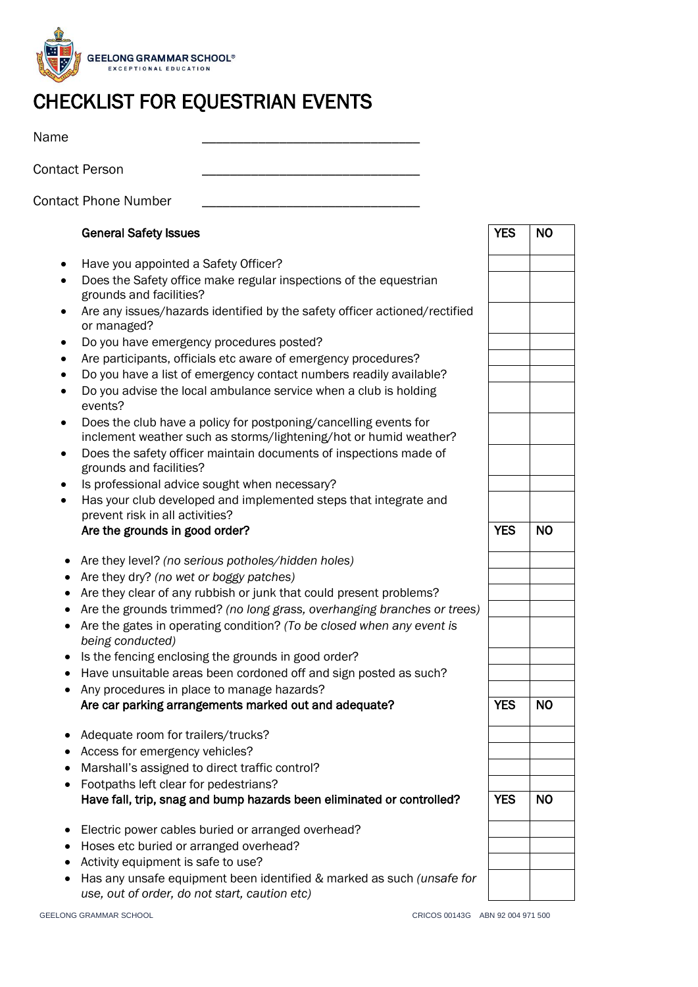

# CHECKLIST FOR EQUESTRIAN EVENTS

Name \_\_\_\_\_\_\_\_\_\_\_\_\_\_\_\_\_\_\_\_\_\_\_\_\_\_\_\_\_\_\_

Contact Person

Contact Phone Number

## General Safety Issues

- Have you appointed a Safety Officer?
- Does the Safety office make regular inspections of the equestrian grounds and facilities?
- Are any issues/hazards identified by the safety officer actioned/rectified or managed?
- Do you have emergency procedures posted?
- Are participants, officials etc aware of emergency procedures?
- Do you have a list of emergency contact numbers readily available?
- Do you advise the local ambulance service when a club is holding events?
- Does the club have a policy for postponing/cancelling events for inclement weather such as storms/lightening/hot or humid weather?
- Does the safety officer maintain documents of inspections made of grounds and facilities?
- Is professional advice sought when necessary?
- Has your club developed and implemented steps that integrate and prevent risk in all activities?

#### Are the grounds in good order? Are set of the set of the set of the set of the set of the set of the set of the set of the set of the set of the set of the set of the set of the set of the set of the set of the set of the

- Are they level? *(no serious potholes/hidden holes)*
- Are they dry? *(no wet or boggy patches)*
- Are they clear of any rubbish or junk that could present problems?
- Are the grounds trimmed? *(no long grass, overhanging branches or trees)*
- Are the gates in operating condition? *(To be closed when any event is being conducted)*
- Is the fencing enclosing the grounds in good order?
- Have unsuitable areas been cordoned off and sign posted as such?
- Any procedures in place to manage hazards? Are car parking arrangements marked out and adequate? The Task Theory of Tasks Theory are No
- Adequate room for trailers/trucks?
- Access for emergency vehicles?
- Marshall's assigned to direct traffic control?
- Footpaths left clear for pedestrians? Have fall, trip, snag and bump hazards been eliminated or controlled?  $\vert$  YES  $\vert$  NO
- Electric power cables buried or arranged overhead?
- Hoses etc buried or arranged overhead?
- Activity equipment is safe to use?
- Has any unsafe equipment been identified & marked as such *(unsafe for use, out of order, do not start, caution etc)*



YES NO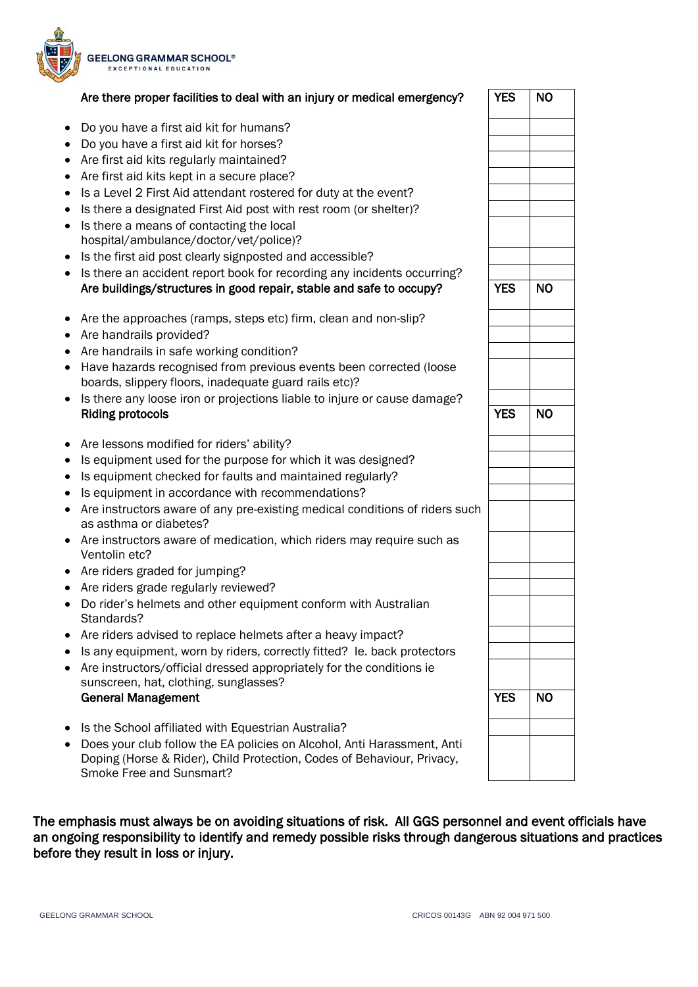

|           | Are there proper facilities to deal with an injury or medical emergency?                              | <b>YES</b> | <b>NO</b> |
|-----------|-------------------------------------------------------------------------------------------------------|------------|-----------|
| $\bullet$ | Do you have a first aid kit for humans?                                                               |            |           |
|           | • Do you have a first aid kit for horses?                                                             |            |           |
| ٠         | Are first aid kits regularly maintained?                                                              |            |           |
|           | • Are first aid kits kept in a secure place?                                                          |            |           |
|           | • Is a Level 2 First Aid attendant rostered for duty at the event?                                    |            |           |
| ٠         | Is there a designated First Aid post with rest room (or shelter)?                                     |            |           |
| $\bullet$ | Is there a means of contacting the local                                                              |            |           |
|           | hospital/ambulance/doctor/vet/police)?                                                                |            |           |
| ٠         | Is the first aid post clearly signposted and accessible?                                              |            |           |
| ٠         | Is there an accident report book for recording any incidents occurring?                               |            |           |
|           | Are buildings/structures in good repair, stable and safe to occupy?                                   | <b>YES</b> | <b>NO</b> |
|           | • Are the approaches (ramps, steps etc) firm, clean and non-slip?                                     |            |           |
|           | • Are handrails provided?                                                                             |            |           |
| $\bullet$ | Are handrails in safe working condition?                                                              |            |           |
| $\bullet$ | Have hazards recognised from previous events been corrected (loose                                    |            |           |
|           | boards, slippery floors, inadequate guard rails etc)?                                                 |            |           |
| $\bullet$ | Is there any loose iron or projections liable to injure or cause damage?                              |            |           |
|           | <b>Riding protocols</b>                                                                               | <b>YES</b> | <b>NO</b> |
| $\bullet$ | Are lessons modified for riders' ability?                                                             |            |           |
| ٠         | Is equipment used for the purpose for which it was designed?                                          |            |           |
| ٠         | Is equipment checked for faults and maintained regularly?                                             |            |           |
| ٠         | Is equipment in accordance with recommendations?                                                      |            |           |
| $\bullet$ | Are instructors aware of any pre-existing medical conditions of riders such<br>as asthma or diabetes? |            |           |
|           | • Are instructors aware of medication, which riders may require such as<br>Ventolin etc?              |            |           |
|           | • Are riders graded for jumping?                                                                      |            |           |
|           | • Are riders grade regularly reviewed?                                                                |            |           |
|           | • Do rider's helmets and other equipment conform with Australian                                      |            |           |
|           | Standards?                                                                                            |            |           |
| ٠         | Are riders advised to replace helmets after a heavy impact?                                           |            |           |
| ٠         | Is any equipment, worn by riders, correctly fitted? Ie. back protectors                               |            |           |
| $\bullet$ | Are instructors/official dressed appropriately for the conditions ie                                  |            |           |
|           | sunscreen, hat, clothing, sunglasses?                                                                 | <b>YES</b> |           |
|           | <b>General Management</b>                                                                             |            | <b>NO</b> |

- Is the School affiliated with Equestrian Australia?
- Does your club follow the EA policies on Alcohol, Anti Harassment, Anti Doping (Horse & Rider), Child Protection, Codes of Behaviour, Privacy, Smoke Free and Sunsmart?

The emphasis must always be on avoiding situations of risk. All GGS personnel and event officials have an ongoing responsibility to identify and remedy possible risks through dangerous situations and practices before they result in loss or injury.

| <b>YES</b> | $\overline{NO}$ |
|------------|-----------------|
|            |                 |
|            |                 |
|            |                 |
|            |                 |
| Y<br>ES    | N <sub>O</sub>  |
|            |                 |
|            |                 |
|            |                 |
|            |                 |
|            |                 |
|            |                 |
|            |                 |
|            |                 |
|            |                 |
| <b>YES</b> | <b>NO</b>       |
|            |                 |
|            |                 |